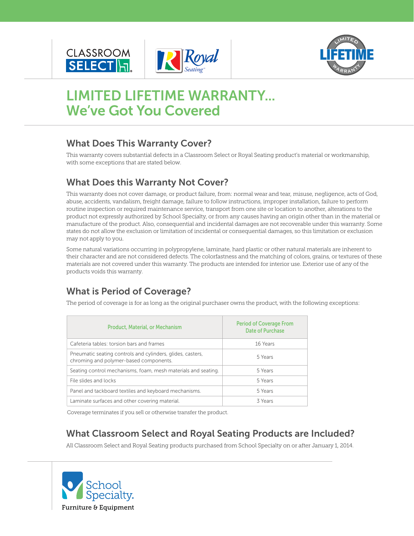





# **LIMITED LIFETIME WARRANTY... We've Got You Covered**

### **What Does This Warranty Cover?**

This warranty covers substantial defects in a Classroom Select or Royal Seating product's material or workmanship, with some exceptions that are stated below.

# **What Does this Warranty Not Cover?**

This warranty does not cover damage, or product failure, from: normal wear and tear, misuse, negligence, acts of God, abuse, accidents, vandalism, freight damage, failure to follow instructions, improper installation, failure to perform routine inspection or required maintenance service, transport from one site or location to another, alterations to the product not expressly authorized by School Specialty, or from any causes having an origin other than in the material or manufacture of the product. Also, consequential and incidental damages are not recoverable under this warranty. Some states do not allow the exclusion or limitation of incidental or consequential damages, so this limitation or exclusion may not apply to you.

Some natural variations occurring in polypropylene, laminate, hard plastic or other natural materials are inherent to their character and are not considered defects. The colorfastness and the matching of colors, grains, or textures of these materials are not covered under this warranty. The products are intended for interior use. Exterior use of any of the products voids this warranty.

# **What is Period of Coverage?**

The period of coverage is for as long as the original purchaser owns the product, with the following exceptions:

| <b>Product, Material, or Mechanism</b>                                                               | <b>Period of Coverage From</b><br>Date of Purchase |
|------------------------------------------------------------------------------------------------------|----------------------------------------------------|
| Cafeteria tables: torsion bars and frames                                                            | 16 Years                                           |
| Pneumatic seating controls and cylinders, glides, casters,<br>chroming and polymer-based components. | 5 Years                                            |
| Seating control mechanisms, foam, mesh materials and seating.                                        | 5 Years                                            |
| File slides and locks                                                                                | 5 Years                                            |
| Panel and tackboard textiles and keyboard mechanisms.                                                | 5 Years                                            |
| Laminate surfaces and other covering material.                                                       | 3 Years                                            |

Coverage terminates if you sell or otherwise transfer the product.

#### **What Classroom Select and Royal Seating Products are Included?**

All Classroom Select and Royal Seating products purchased from School Specialty on or after January 1, 2014.